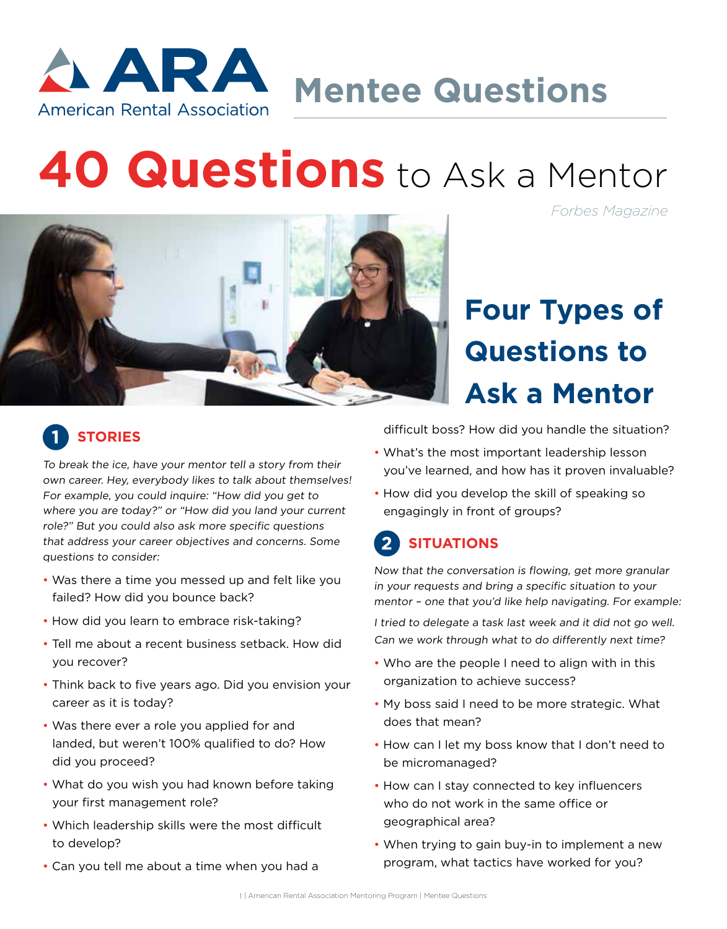

**Mentee Questions**

# **40 Questions** to Ask a Mentor

*Forbes Magazine*



# **Four Types of Questions to Ask a Mentor**

#### **STORIES**

To break the ice, have your mentor tell a story from their own career. Hey, everybody likes to talk about themselves! For example, you could inquire: "How did you get to where you are today?" or "How did you land your current role?" But you could also ask more specific questions that address your career objectives and concerns. Some questions to consider:

- Was there a time you messed up and felt like you failed? How did you bounce back?
- How did you learn to embrace risk-taking?
- Tell me about a recent business setback. How did you recover?
- Think back to five years ago. Did you envision your career as it is today?
- Was there ever a role you applied for and landed, but weren't 100% qualified to do? How did you proceed?
- What do you wish you had known before taking your first management role?
- Which leadership skills were the most difficult to develop?
- Can you tell me about a time when you had a

difficult boss? How did you handle the situation?

- What's the most important leadership lesson you've learned, and how has it proven invaluable?
- How did you develop the skill of speaking so engagingly in front of groups?

## **SITUATIONS**

Now that the conversation is flowing, get more granular in your requests and bring a specific situation to your mentor – one that you'd like help navigating. For example:

I tried to delegate a task last week and it did not go well. Can we work through what to do differently next time?

- Who are the people I need to align with in this organization to achieve success?
- My boss said I need to be more strategic. What does that mean?
- How can I let my boss know that I don't need to be micromanaged?
- How can I stay connected to key influencers who do not work in the same office or geographical area?
- When trying to gain buy-in to implement a new program, what tactics have worked for you?